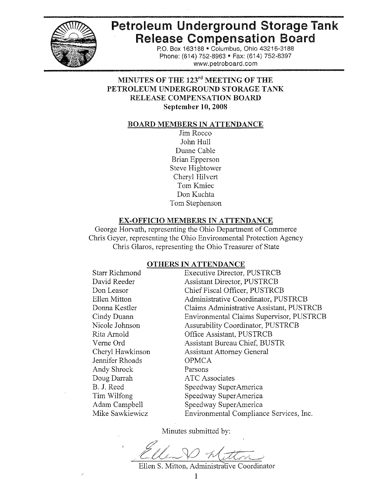

# **Petroleum Underground Storage Tank Release Compensation Board**

P.O. Box 163188 · Columbus, Ohio 43216-3188 Phone: (614) 752-8963 · Fax: (614) 752-8397 www.petroboard.com

# MINUTES OF THE 123<sup>rd</sup> MEETING OF THE PETROLEUM UNDERGROUND STORAGE TANK RELEASE COMPENSATION BOARD September 10, 2008

#### **BOARD MEMBERS IN ATTENDANCE**

Jim Rocco John Hull Duane Cable Brian Epperson Steve Hightower Cheryl Hilvert Tom Kmiec Don Kuchta Tom Stephenson

#### **EX-OFFICIO MEMBERS IN ATTENDANCE**

George Horvath, representing the Ohio Department of Commerce Chris Geyer, representing the Ohio Environmental Protection Agency Chris Glaros, representing the Ohio Treasurer of State

## OTHERS IN ATTENDANCE

**Starr Richmond** David Reeder Don Leasor Ellen Mitton Donna Kestler Cindy Duann Nicole Johnson Rita Arnold Verne Ord Cheryl Hawkinson Jennifer Rhoads Andy Shrock Doug Darrah B. J. Reed Tim Wilfong Adam Campbell Mike Sawkiewicz

**Executive Director, PUSTRCB Assistant Director, PUSTRCB** Chief Fiscal Officer, PUSTRCB Administrative Coordinator, PUSTRCB Claims Administrative Assistant, PUSTRCB Environmental Claims Supervisor, PUSTRCB **Assurability Coordinator, PUSTRCB** Office Assistant, PUSTRCB **Assistant Bureau Chief, BUSTR Assistant Attorney General OPMCA** Parsons **ATC Associates** Speedway SuperAmerica Speedway SuperAmerica Speedway SuperAmerica Environmental Compliance Services, Inc.

Minutes submitted by:

Ellen S. Mitton, Administrative Coordinator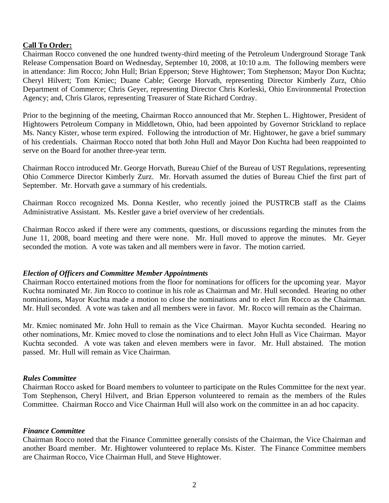# **Call To Order:**

Chairman Rocco convened the one hundred twenty-third meeting of the Petroleum Underground Storage Tank Release Compensation Board on Wednesday, September 10, 2008, at 10:10 a.m. The following members were in attendance: Jim Rocco; John Hull; Brian Epperson; Steve Hightower; Tom Stephenson; Mayor Don Kuchta; Cheryl Hilvert; Tom Kmiec; Duane Cable; George Horvath, representing Director Kimberly Zurz, Ohio Department of Commerce; Chris Geyer, representing Director Chris Korleski, Ohio Environmental Protection Agency; and, Chris Glaros, representing Treasurer of State Richard Cordray.

Prior to the beginning of the meeting, Chairman Rocco announced that Mr. Stephen L. Hightower, President of Hightowers Petroleum Company in Middletown, Ohio, had been appointed by Governor Strickland to replace Ms. Nancy Kister, whose term expired. Following the introduction of Mr. Hightower, he gave a brief summary of his credentials. Chairman Rocco noted that both John Hull and Mayor Don Kuchta had been reappointed to serve on the Board for another three-year term.

Chairman Rocco introduced Mr. George Horvath, Bureau Chief of the Bureau of UST Regulations, representing Ohio Commerce Director Kimberly Zurz. Mr. Horvath assumed the duties of Bureau Chief the first part of September. Mr. Horvath gave a summary of his credentials.

Chairman Rocco recognized Ms. Donna Kestler, who recently joined the PUSTRCB staff as the Claims Administrative Assistant. Ms. Kestler gave a brief overview of her credentials.

Chairman Rocco asked if there were any comments, questions, or discussions regarding the minutes from the June 11, 2008, board meeting and there were none. Mr. Hull moved to approve the minutes. Mr. Geyer seconded the motion. A vote was taken and all members were in favor. The motion carried.

## *Election of Officers and Committee Member Appointments*

Chairman Rocco entertained motions from the floor for nominations for officers for the upcoming year. Mayor Kuchta nominated Mr. Jim Rocco to continue in his role as Chairman and Mr. Hull seconded. Hearing no other nominations, Mayor Kuchta made a motion to close the nominations and to elect Jim Rocco as the Chairman. Mr. Hull seconded. A vote was taken and all members were in favor. Mr. Rocco will remain as the Chairman.

Mr. Kmiec nominated Mr. John Hull to remain as the Vice Chairman. Mayor Kuchta seconded. Hearing no other nominations, Mr. Kmiec moved to close the nominations and to elect John Hull as Vice Chairman. Mayor Kuchta seconded. A vote was taken and eleven members were in favor. Mr. Hull abstained. The motion passed. Mr. Hull will remain as Vice Chairman.

## *Rules Committee*

Chairman Rocco asked for Board members to volunteer to participate on the Rules Committee for the next year. Tom Stephenson, Cheryl Hilvert, and Brian Epperson volunteered to remain as the members of the Rules Committee. Chairman Rocco and Vice Chairman Hull will also work on the committee in an ad hoc capacity.

## *Finance Committee*

Chairman Rocco noted that the Finance Committee generally consists of the Chairman, the Vice Chairman and another Board member. Mr. Hightower volunteered to replace Ms. Kister. The Finance Committee members are Chairman Rocco, Vice Chairman Hull, and Steve Hightower.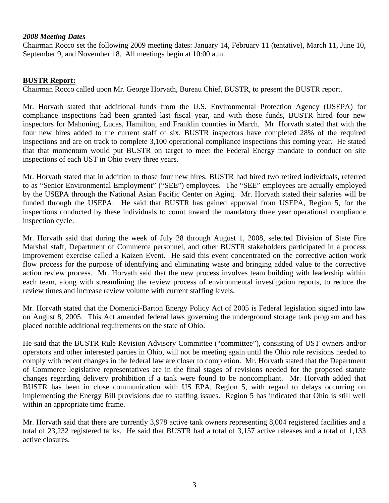## *2008 Meeting Dates*

Chairman Rocco set the following 2009 meeting dates: January 14, February 11 (tentative), March 11, June 10, September 9, and November 18. All meetings begin at 10:00 a.m.

## **BUSTR Report:**

Chairman Rocco called upon Mr. George Horvath, Bureau Chief, BUSTR, to present the BUSTR report.

Mr. Horvath stated that additional funds from the U.S. Environmental Protection Agency (USEPA) for compliance inspections had been granted last fiscal year, and with those funds, BUSTR hired four new inspectors for Mahoning, Lucas, Hamilton, and Franklin counties in March. Mr. Horvath stated that with the four new hires added to the current staff of six, BUSTR inspectors have completed 28% of the required inspections and are on track to complete 3,100 operational compliance inspections this coming year. He stated that that momentum would put BUSTR on target to meet the Federal Energy mandate to conduct on site inspections of each UST in Ohio every three years.

Mr. Horvath stated that in addition to those four new hires, BUSTR had hired two retired individuals, referred to as "Senior Environmental Employment" ("SEE") employees. The "SEE" employees are actually employed by the USEPA through the National Asian Pacific Center on Aging. Mr. Horvath stated their salaries will be funded through the USEPA. He said that BUSTR has gained approval from USEPA, Region 5, for the inspections conducted by these individuals to count toward the mandatory three year operational compliance inspection cycle.

Mr. Horvath said that during the week of July 28 through August 1, 2008, selected Division of State Fire Marshal staff, Department of Commerce personnel, and other BUSTR stakeholders participated in a process improvement exercise called a Kaizen Event. He said this event concentrated on the corrective action work flow process for the purpose of identifying and eliminating waste and bringing added value to the corrective action review process. Mr. Horvath said that the new process involves team building with leadership within each team, along with streamlining the review process of environmental investigation reports, to reduce the review times and increase review volume with current staffing levels.

Mr. Horvath stated that the Domenici-Barton Energy Policy Act of 2005 is Federal legislation signed into law on August 8, 2005. This Act amended federal laws governing the underground storage tank program and has placed notable additional requirements on the state of Ohio.

He said that the BUSTR Rule Revision Advisory Committee ("committee"), consisting of UST owners and/or operators and other interested parties in Ohio, will not be meeting again until the Ohio rule revisions needed to comply with recent changes in the federal law are closer to completion. Mr. Horvath stated that the Department of Commerce legislative representatives are in the final stages of revisions needed for the proposed statute changes regarding delivery prohibition if a tank were found to be noncompliant. Mr. Horvath added that BUSTR has been in close communication with US EPA, Region 5, with regard to delays occurring on implementing the Energy Bill provisions due to staffing issues. Region 5 has indicated that Ohio is still well within an appropriate time frame.

Mr. Horvath said that there are currently 3,978 active tank owners representing 8,004 registered facilities and a total of 23,232 registered tanks. He said that BUSTR had a total of 3,157 active releases and a total of 1,133 active closures.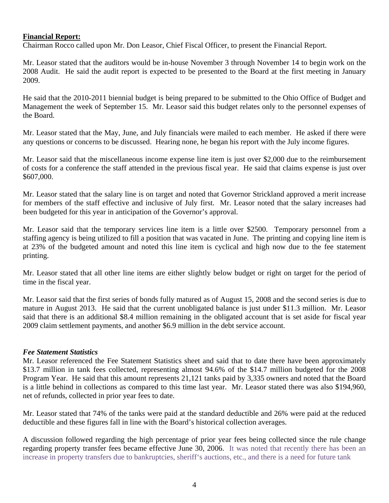## **Financial Report:**

Chairman Rocco called upon Mr. Don Leasor, Chief Fiscal Officer, to present the Financial Report.

Mr. Leasor stated that the auditors would be in-house November 3 through November 14 to begin work on the 2008 Audit. He said the audit report is expected to be presented to the Board at the first meeting in January 2009.

He said that the 2010-2011 biennial budget is being prepared to be submitted to the Ohio Office of Budget and Management the week of September 15. Mr. Leasor said this budget relates only to the personnel expenses of the Board.

Mr. Leasor stated that the May, June, and July financials were mailed to each member. He asked if there were any questions or concerns to be discussed. Hearing none, he began his report with the July income figures.

Mr. Leasor said that the miscellaneous income expense line item is just over \$2,000 due to the reimbursement of costs for a conference the staff attended in the previous fiscal year. He said that claims expense is just over \$607,000.

Mr. Leasor stated that the salary line is on target and noted that Governor Strickland approved a merit increase for members of the staff effective and inclusive of July first. Mr. Leasor noted that the salary increases had been budgeted for this year in anticipation of the Governor's approval.

Mr. Leasor said that the temporary services line item is a little over \$2500. Temporary personnel from a staffing agency is being utilized to fill a position that was vacated in June. The printing and copying line item is at 23% of the budgeted amount and noted this line item is cyclical and high now due to the fee statement printing.

Mr. Leasor stated that all other line items are either slightly below budget or right on target for the period of time in the fiscal year.

Mr. Leasor said that the first series of bonds fully matured as of August 15, 2008 and the second series is due to mature in August 2013. He said that the current unobligated balance is just under \$11.3 million. Mr. Leasor said that there is an additional \$8.4 million remaining in the obligated account that is set aside for fiscal year 2009 claim settlement payments, and another \$6.9 million in the debt service account.

## *Fee Statement Statistics*

Mr. Leasor referenced the Fee Statement Statistics sheet and said that to date there have been approximately \$13.7 million in tank fees collected, representing almost 94.6% of the \$14.7 million budgeted for the 2008 Program Year. He said that this amount represents 21,121 tanks paid by 3,335 owners and noted that the Board is a little behind in collections as compared to this time last year. Mr. Leasor stated there was also \$194,960, net of refunds, collected in prior year fees to date.

Mr. Leasor stated that 74% of the tanks were paid at the standard deductible and 26% were paid at the reduced deductible and these figures fall in line with the Board's historical collection averages.

A discussion followed regarding the high percentage of prior year fees being collected since the rule change regarding property transfer fees became effective June 30, 2006. It was noted that recently there has been an increase in property transfers due to bankruptcies, sheriff's auctions, etc., and there is a need for future tank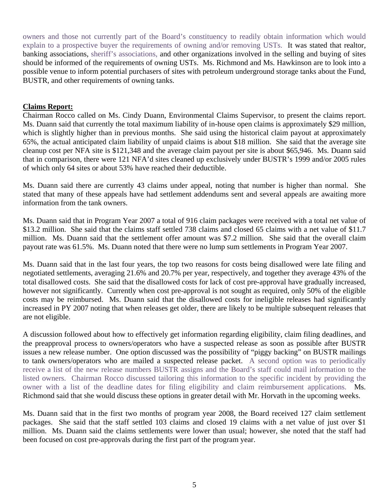owners and those not currently part of the Board's constituency to readily obtain information which would explain to a prospective buyer the requirements of owning and/or removing USTs. It was stated that realtor, banking associations, sheriff's associations, and other organizations involved in the selling and buying of sites should be informed of the requirements of owning USTs. Ms. Richmond and Ms. Hawkinson are to look into a possible venue to inform potential purchasers of sites with petroleum underground storage tanks about the Fund, BUSTR, and other requirements of owning tanks.

# **Claims Report:**

Chairman Rocco called on Ms. Cindy Duann, Environmental Claims Supervisor, to present the claims report. Ms. Duann said that currently the total maximum liability of in-house open claims is approximately \$29 million, which is slightly higher than in previous months. She said using the historical claim payout at approximately 65%, the actual anticipated claim liability of unpaid claims is about \$18 million. She said that the average site cleanup cost per NFA site is \$121,348 and the average claim payout per site is about \$65,946. Ms. Duann said that in comparison, there were 121 NFA'd sites cleaned up exclusively under BUSTR's 1999 and/or 2005 rules of which only 64 sites or about 53% have reached their deductible.

Ms. Duann said there are currently 43 claims under appeal, noting that number is higher than normal. She stated that many of these appeals have had settlement addendums sent and several appeals are awaiting more information from the tank owners.

Ms. Duann said that in Program Year 2007 a total of 916 claim packages were received with a total net value of \$13.2 million. She said that the claims staff settled 738 claims and closed 65 claims with a net value of \$11.7 million. Ms. Duann said that the settlement offer amount was \$7.2 million. She said that the overall claim payout rate was 61.5%. Ms. Duann noted that there were no lump sum settlements in Program Year 2007.

Ms. Duann said that in the last four years, the top two reasons for costs being disallowed were late filing and negotiated settlements, averaging 21.6% and 20.7% per year, respectively, and together they average 43% of the total disallowed costs. She said that the disallowed costs for lack of cost pre-approval have gradually increased, however not significantly. Currently when cost pre-approval is not sought as required, only 50% of the eligible costs may be reimbursed. Ms. Duann said that the disallowed costs for ineligible releases had significantly increased in PY 2007 noting that when releases get older, there are likely to be multiple subsequent releases that are not eligible.

A discussion followed about how to effectively get information regarding eligibility, claim filing deadlines, and the preapproval process to owners/operators who have a suspected release as soon as possible after BUSTR issues a new release number. One option discussed was the possibility of "piggy backing" on BUSTR mailings to tank owners/operators who are mailed a suspected release packet. A second option was to periodically receive a list of the new release numbers BUSTR assigns and the Board's staff could mail information to the listed owners. Chairman Rocco discussed tailoring this information to the specific incident by providing the owner with a list of the deadline dates for filing eligibility and claim reimbursement applications. Ms. Richmond said that she would discuss these options in greater detail with Mr. Horvath in the upcoming weeks.

Ms. Duann said that in the first two months of program year 2008, the Board received 127 claim settlement packages. She said that the staff settled 103 claims and closed 19 claims with a net value of just over \$1 million. Ms. Duann said the claims settlements were lower than usual; however, she noted that the staff had been focused on cost pre-approvals during the first part of the program year.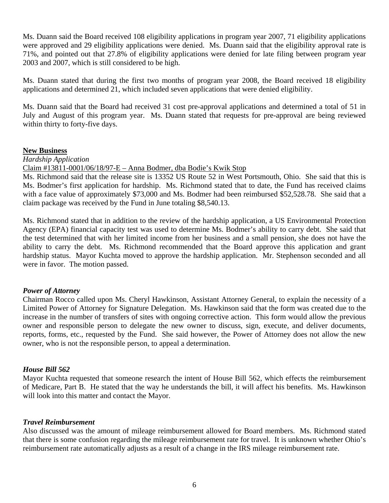Ms. Duann said the Board received 108 eligibility applications in program year 2007, 71 eligibility applications were approved and 29 eligibility applications were denied. Ms. Duann said that the eligibility approval rate is 71%, and pointed out that 27.8% of eligibility applications were denied for late filing between program year 2003 and 2007, which is still considered to be high.

Ms. Duann stated that during the first two months of program year 2008, the Board received 18 eligibility applications and determined 21, which included seven applications that were denied eligibility.

Ms. Duann said that the Board had received 31 cost pre-approval applications and determined a total of 51 in July and August of this program year. Ms. Duann stated that requests for pre-approval are being reviewed within thirty to forty-five days.

## **New Business**

#### *Hardship Application*

Claim #13811-0001/06/18/97-E – Anna Bodmer, dba Bodie's Kwik Stop

Ms. Richmond said that the release site is 13352 US Route 52 in West Portsmouth, Ohio. She said that this is Ms. Bodmer's first application for hardship. Ms. Richmond stated that to date, the Fund has received claims with a face value of approximately \$73,000 and Ms. Bodmer had been reimbursed \$52,528.78. She said that a claim package was received by the Fund in June totaling \$8,540.13.

Ms. Richmond stated that in addition to the review of the hardship application, a US Environmental Protection Agency (EPA) financial capacity test was used to determine Ms. Bodmer's ability to carry debt. She said that the test determined that with her limited income from her business and a small pension, she does not have the ability to carry the debt. Ms. Richmond recommended that the Board approve this application and grant hardship status. Mayor Kuchta moved to approve the hardship application. Mr. Stephenson seconded and all were in favor. The motion passed.

## *Power of Attorney*

Chairman Rocco called upon Ms. Cheryl Hawkinson, Assistant Attorney General, to explain the necessity of a Limited Power of Attorney for Signature Delegation. Ms. Hawkinson said that the form was created due to the increase in the number of transfers of sites with ongoing corrective action. This form would allow the previous owner and responsible person to delegate the new owner to discuss, sign, execute, and deliver documents, reports, forms, etc., requested by the Fund. She said however, the Power of Attorney does not allow the new owner, who is not the responsible person, to appeal a determination.

## *House Bill 562*

Mayor Kuchta requested that someone research the intent of House Bill 562, which effects the reimbursement of Medicare, Part B. He stated that the way he understands the bill, it will affect his benefits. Ms. Hawkinson will look into this matter and contact the Mayor.

#### *Travel Reimbursement*

Also discussed was the amount of mileage reimbursement allowed for Board members. Ms. Richmond stated that there is some confusion regarding the mileage reimbursement rate for travel. It is unknown whether Ohio's reimbursement rate automatically adjusts as a result of a change in the IRS mileage reimbursement rate.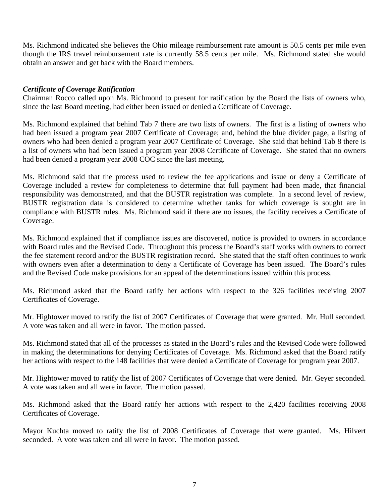Ms. Richmond indicated she believes the Ohio mileage reimbursement rate amount is 50.5 cents per mile even though the IRS travel reimbursement rate is currently 58.5 cents per mile. Ms. Richmond stated she would obtain an answer and get back with the Board members.

# *Certificate of Coverage Ratification*

Chairman Rocco called upon Ms. Richmond to present for ratification by the Board the lists of owners who, since the last Board meeting, had either been issued or denied a Certificate of Coverage.

Ms. Richmond explained that behind Tab 7 there are two lists of owners. The first is a listing of owners who had been issued a program year 2007 Certificate of Coverage; and, behind the blue divider page, a listing of owners who had been denied a program year 2007 Certificate of Coverage. She said that behind Tab 8 there is a list of owners who had been issued a program year 2008 Certificate of Coverage. She stated that no owners had been denied a program year 2008 COC since the last meeting.

Ms. Richmond said that the process used to review the fee applications and issue or deny a Certificate of Coverage included a review for completeness to determine that full payment had been made, that financial responsibility was demonstrated, and that the BUSTR registration was complete. In a second level of review, BUSTR registration data is considered to determine whether tanks for which coverage is sought are in compliance with BUSTR rules. Ms. Richmond said if there are no issues, the facility receives a Certificate of Coverage.

Ms. Richmond explained that if compliance issues are discovered, notice is provided to owners in accordance with Board rules and the Revised Code. Throughout this process the Board's staff works with owners to correct the fee statement record and/or the BUSTR registration record. She stated that the staff often continues to work with owners even after a determination to deny a Certificate of Coverage has been issued. The Board's rules and the Revised Code make provisions for an appeal of the determinations issued within this process.

Ms. Richmond asked that the Board ratify her actions with respect to the 326 facilities receiving 2007 Certificates of Coverage.

Mr. Hightower moved to ratify the list of 2007 Certificates of Coverage that were granted. Mr. Hull seconded. A vote was taken and all were in favor. The motion passed.

Ms. Richmond stated that all of the processes as stated in the Board's rules and the Revised Code were followed in making the determinations for denying Certificates of Coverage. Ms. Richmond asked that the Board ratify her actions with respect to the 148 facilities that were denied a Certificate of Coverage for program year 2007.

Mr. Hightower moved to ratify the list of 2007 Certificates of Coverage that were denied. Mr. Geyer seconded. A vote was taken and all were in favor. The motion passed.

Ms. Richmond asked that the Board ratify her actions with respect to the 2,420 facilities receiving 2008 Certificates of Coverage.

Mayor Kuchta moved to ratify the list of 2008 Certificates of Coverage that were granted. Ms. Hilvert seconded. A vote was taken and all were in favor. The motion passed.